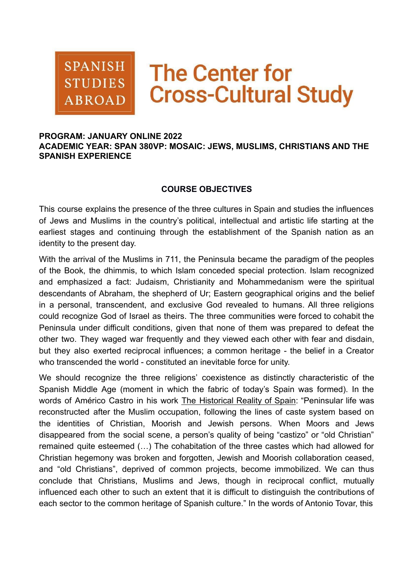

# **The Center for Cross-Cultural Study**

#### **PROGRAM: JANUARY ONLINE 2022**

**ACADEMIC YEAR: SPAN 380VP: MOSAIC: JEWS, MUSLIMS, CHRISTIANS AND THE SPANISH EXPERIENCE**

#### **COURSE OBJECTIVES**

This course explains the presence of the three cultures in Spain and studies the influences of Jews and Muslims in the country's political, intellectual and artistic life starting at the earliest stages and continuing through the establishment of the Spanish nation as an identity to the present day.

With the arrival of the Muslims in 711, the Peninsula became the paradigm of the peoples of the Book, the dhimmis, to which Islam conceded special protection. Islam recognized and emphasized a fact: Judaism, Christianity and Mohammedanism were the spiritual descendants of Abraham, the shepherd of Ur; Eastern geographical origins and the belief in a personal, transcendent, and exclusive God revealed to humans. All three religions could recognize God of Israel as theirs. The three communities were forced to cohabit the Peninsula under difficult conditions, given that none of them was prepared to defeat the other two. They waged war frequently and they viewed each other with fear and disdain, but they also exerted reciprocal influences; a common heritage - the belief in a Creator who transcended the world - constituted an inevitable force for unity.

We should recognize the three religions' coexistence as distinctly characteristic of the Spanish Middle Age (moment in which the fabric of today's Spain was formed). In the words of Américo Castro in his work The Historical Reality of Spain: "Peninsular life was reconstructed after the Muslim occupation, following the lines of caste system based on the identities of Christian, Moorish and Jewish persons. When Moors and Jews disappeared from the social scene, a person's quality of being "castizo" or "old Christian" remained quite esteemed (…) The cohabitation of the three castes which had allowed for Christian hegemony was broken and forgotten, Jewish and Moorish collaboration ceased, and "old Christians", deprived of common projects, become immobilized. We can thus conclude that Christians, Muslims and Jews, though in reciprocal conflict, mutually influenced each other to such an extent that it is difficult to distinguish the contributions of each sector to the common heritage of Spanish culture." In the words of Antonio Tovar, this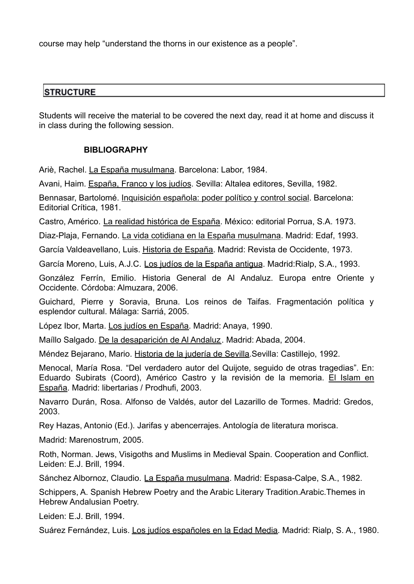course may help "understand the thorns in our existence as a people".

# **STRUCTURE**

Students will receive the material to be covered the next day, read it at home and discuss it in class during the following session.

## **BIBLIOGRAPHY**

Ariè, Rachel. La España musulmana. Barcelona: Labor, 1984.

Avani, Haim. España, Franco y los judíos. Sevilla: Altalea editores, Sevilla, 1982.

Bennasar, Bartolomé. Inquisición española: poder político y control social. Barcelona: Editorial Crítica, 1981.

Castro, Américo. La realidad histórica de España. México: editorial Porrua, S.A. 1973.

Diaz-Plaja, Fernando. La vida cotidiana en la España musulmana. Madrid: Edaf, 1993.

García Valdeavellano, Luis. Historia de España. Madrid: Revista de Occidente, 1973.

García Moreno, Luis, A.J.C. Los judíos de la España antigua. Madrid:Rialp, S.A., 1993.

González Ferrín, Emilio. Historia General de Al Andaluz. Europa entre Oriente y Occidente. Córdoba: Almuzara, 2006.

Guichard, Pierre y Soravia, Bruna. Los reinos de Taifas. Fragmentación política y esplendor cultural. Málaga: Sarriá, 2005.

López Ibor, Marta. Los judíos en España. Madrid: Anaya, 1990.

Maíllo Salgado. De la desaparición de Al Andaluz. Madrid: Abada, 2004.

Méndez Bejarano, Mario. Historia de la judería de Sevilla. Sevilla: Castillejo, 1992.

Menocal, María Rosa. "Del verdadero autor del Quijote, seguido de otras tragedias". En: Eduardo Subirats (Coord), Américo Castro y la revisión de la memoria. El Islam en España. Madrid: libertarias / Prodhufi, 2003.

Navarro Durán, Rosa. Alfonso de Valdés, autor del Lazarillo de Tormes. Madrid: Gredos, 2003.

Rey Hazas, Antonio (Ed.). Jarifas y abencerrajes. Antología de literatura morisca.

Madrid: Marenostrum, 2005.

Roth, Norman. Jews, Visigoths and Muslims in Medieval Spain. Cooperation and Conflict. Leiden: E.J. Brill, 1994.

Sánchez Albornoz, Claudio. La España musulmana. Madrid: Espasa-Calpe, S.A., 1982.

Schippers, A. Spanish Hebrew Poetry and the Arabic Literary Tradition.Arabic.Themes in Hebrew Andalusian Poetry.

Leiden: E.J. Brill, 1994.

Suárez Fernández, Luis. Los judíos españoles en la Edad Media. Madrid: Rialp, S. A., 1980.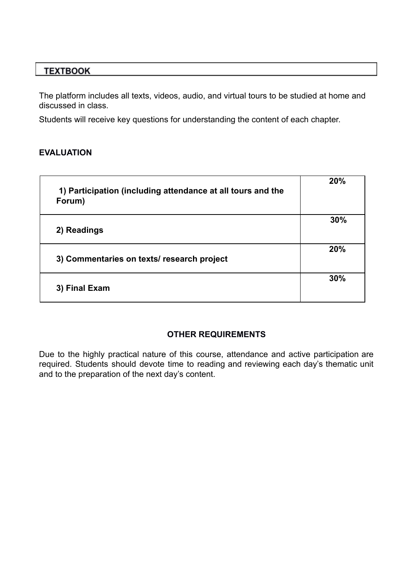# **TEXTBOOK**

The platform includes all texts, videos, audio, and virtual tours to be studied at home and discussed in class.

Students will receive key questions for understanding the content of each chapter.

## **EVALUATION**

| 1) Participation (including attendance at all tours and the<br>Forum) | 20% |
|-----------------------------------------------------------------------|-----|
| 2) Readings                                                           | 30% |
| 3) Commentaries on texts/ research project                            | 20% |
| 3) Final Exam                                                         | 30% |

## **OTHER REQUIREMENTS**

Due to the highly practical nature of this course, attendance and active participation are required. Students should devote time to reading and reviewing each day's thematic unit and to the preparation of the next day's content.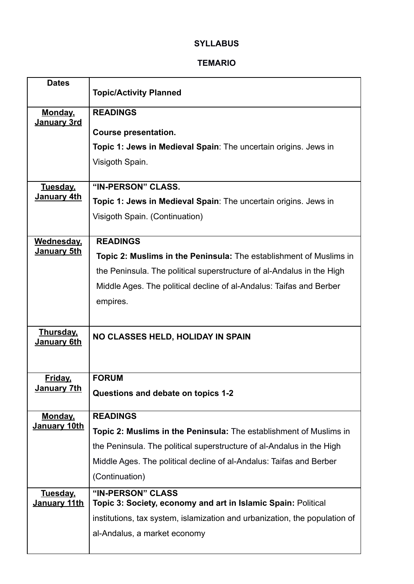# **SYLLABUS**

#### **TEMARIO**

| <b>Dates</b>                    | <b>Topic/Activity Planned</b>                                              |
|---------------------------------|----------------------------------------------------------------------------|
| <b>Monday,</b>                  | <b>READINGS</b>                                                            |
| January 3rd                     | <b>Course presentation.</b>                                                |
|                                 | Topic 1: Jews in Medieval Spain: The uncertain origins. Jews in            |
|                                 | Visigoth Spain.                                                            |
|                                 |                                                                            |
| Tuesday,                        | "IN-PERSON" CLASS.                                                         |
| January 4th                     | Topic 1: Jews in Medieval Spain: The uncertain origins. Jews in            |
|                                 | Visigoth Spain. (Continuation)                                             |
| Wednesday,                      | <b>READINGS</b>                                                            |
| <u>January 5th</u>              | <b>Topic 2: Muslims in the Peninsula:</b> The establishment of Muslims in  |
|                                 | the Peninsula. The political superstructure of al-Andalus in the High      |
|                                 |                                                                            |
|                                 | Middle Ages. The political decline of al-Andalus: Taifas and Berber        |
|                                 | empires.                                                                   |
|                                 |                                                                            |
| <b>Thursday,</b><br>January 6th | NO CLASSES HELD, HOLIDAY IN SPAIN                                          |
|                                 |                                                                            |
| <u>Friday,</u>                  | <b>FORUM</b>                                                               |
| <u>January 7th</u>              | Questions and debate on topics 1-2                                         |
|                                 |                                                                            |
| <b>Monday,</b><br>January 10th  | <b>READINGS</b>                                                            |
|                                 | Topic 2: Muslims in the Peninsula: The establishment of Muslims in         |
|                                 | the Peninsula. The political superstructure of al-Andalus in the High      |
|                                 |                                                                            |
|                                 | Middle Ages. The political decline of al-Andalus: Taifas and Berber        |
|                                 | (Continuation)                                                             |
| <b>Tuesday,</b>                 | "IN-PERSON" CLASS                                                          |
| January 11th                    | Topic 3: Society, economy and art in Islamic Spain: Political              |
|                                 | institutions, tax system, islamization and urbanization, the population of |
|                                 | al-Andalus, a market economy                                               |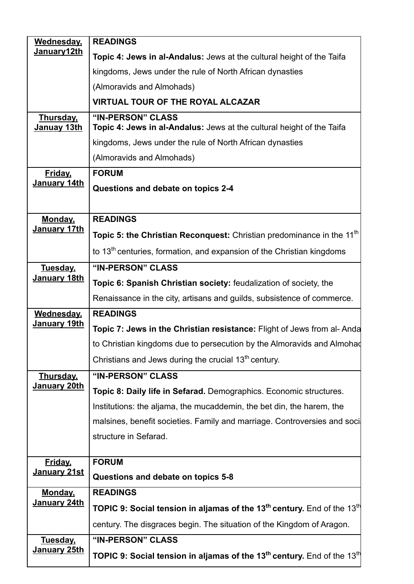| Wednesday,                      | <b>READINGS</b>                                                                                                            |
|---------------------------------|----------------------------------------------------------------------------------------------------------------------------|
| January12th                     | Topic 4: Jews in al-Andalus: Jews at the cultural height of the Taifa                                                      |
|                                 | kingdoms, Jews under the rule of North African dynasties                                                                   |
|                                 | (Almoravids and Almohads)                                                                                                  |
|                                 | <b>VIRTUAL TOUR OF THE ROYAL ALCAZAR</b>                                                                                   |
| <u>Thursday,</u><br>Januay 13th | "IN-PERSON" CLASS<br>Topic 4: Jews in al-Andalus: Jews at the cultural height of the Taifa                                 |
|                                 | kingdoms, Jews under the rule of North African dynasties                                                                   |
|                                 | (Almoravids and Almohads)                                                                                                  |
| Friday,                         | <b>FORUM</b>                                                                                                               |
| January 14th                    | Questions and debate on topics 2-4                                                                                         |
|                                 |                                                                                                                            |
| Monday,                         | <b>READINGS</b>                                                                                                            |
| January 17th                    | Topic 5: the Christian Reconquest: Christian predominance in the 11 <sup>th</sup>                                          |
|                                 | to $13th$ centuries, formation, and expansion of the Christian kingdoms                                                    |
| Tuesday,                        | "IN-PERSON" CLASS                                                                                                          |
| January 18th                    | Topic 6: Spanish Christian society: feudalization of society, the                                                          |
|                                 | Renaissance in the city, artisans and guilds, subsistence of commerce.                                                     |
| Wednesday,                      | <b>READINGS</b>                                                                                                            |
| <b>January 19th</b>             | Topic 7: Jews in the Christian resistance: Flight of Jews from al-Anda                                                     |
|                                 | to Christian kingdoms due to persecution by the Almoravids and Almohad                                                     |
|                                 | Christians and Jews during the crucial 13 <sup>th</sup> century.                                                           |
| <b>Thursday,</b>                | "IN-PERSON" CLASS                                                                                                          |
| January 20th                    | Topic 8: Daily life in Sefarad. Demographics. Economic structures.                                                         |
|                                 | Institutions: the aljama, the mucaddemin, the bet din, the harem, the                                                      |
|                                 | malsines, benefit societies. Family and marriage. Controversies and soci                                                   |
|                                 | structure in Sefarad.                                                                                                      |
| Friday,                         | <b>FORUM</b>                                                                                                               |
| January 21st                    | Questions and debate on topics 5-8                                                                                         |
| Monday,                         | <b>READINGS</b>                                                                                                            |
| January 24th                    | <b>TOPIC 9: Social tension in aljamas of the 13<sup>th</sup> century.</b> End of the 13 <sup>th</sup>                      |
|                                 |                                                                                                                            |
|                                 | century. The disgraces begin. The situation of the Kingdom of Aragon.                                                      |
| <u>Tuesday,</u><br>January 25th | "IN-PERSON" CLASS<br><b>TOPIC 9: Social tension in aljamas of the 13<sup>th</sup> century.</b> End of the 13 <sup>th</sup> |

l